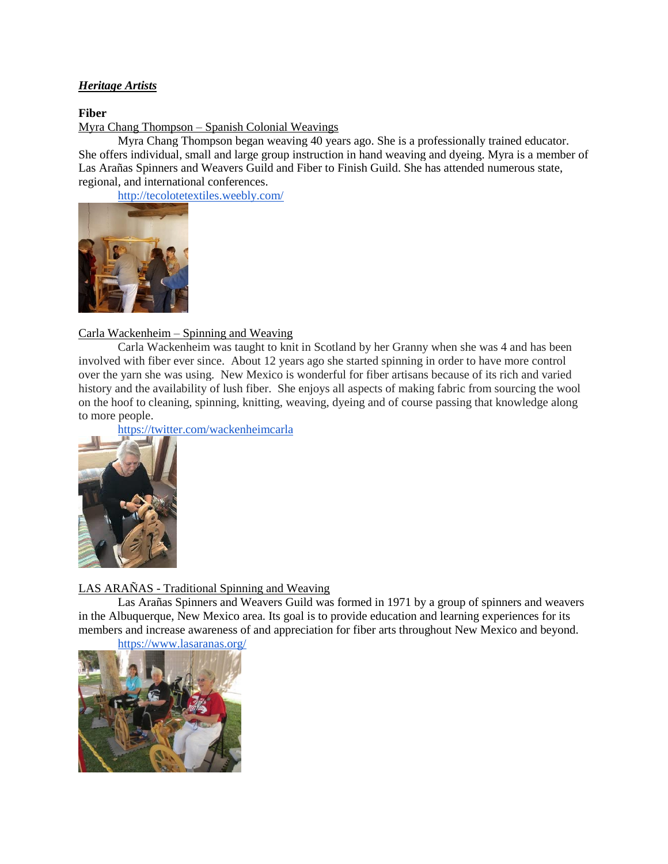## *Heritage Artists*

## **Fiber**

Myra Chang Thompson – Spanish Colonial Weavings

Myra Chang Thompson began weaving 40 years ago. She is a professionally trained educator. She offers individual, small and large group instruction in hand weaving and dyeing. Myra is a member of Las Arañas Spinners and Weavers Guild and Fiber to Finish Guild. She has attended numerous state, regional, and international conferences.

<http://tecolotetextiles.weebly.com/>



## Carla Wackenheim – Spinning and Weaving

Carla Wackenheim was taught to knit in Scotland by her Granny when she was 4 and has been involved with fiber ever since. About 12 years ago she started spinning in order to have more control over the yarn she was using. New Mexico is wonderful for fiber artisans because of its rich and varied history and the availability of lush fiber. She enjoys all aspects of making fabric from sourcing the wool on the hoof to cleaning, spinning, knitting, weaving, dyeing and of course passing that knowledge along to more people.

<https://twitter.com/wackenheimcarla>



# LAS ARAÑAS - Traditional Spinning and Weaving

Las Arañas Spinners and Weavers Guild was formed in 1971 by a group of spinners and weavers in the Albuquerque, New Mexico area. Its goal is to provide education and learning experiences for its members and increase awareness of and appreciation for fiber arts throughout New Mexico and beyond.

<https://www.lasaranas.org/>

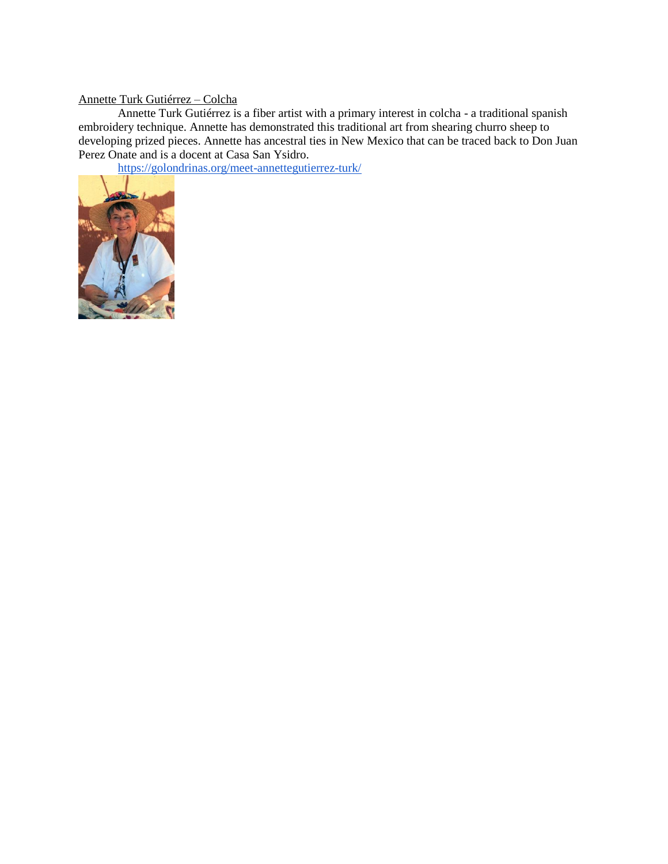## Annette Turk Gutiérrez – Colcha

Annette Turk Gutiérrez is a fiber artist with a primary interest in colcha - a traditional spanish embroidery technique. Annette has demonstrated this traditional art from shearing churro sheep to developing prized pieces. Annette has ancestral ties in New Mexico that can be traced back to Don Juan Perez Onate and is a docent at Casa San Ysidro.

<https://golondrinas.org/meet-annettegutierrez-turk/>

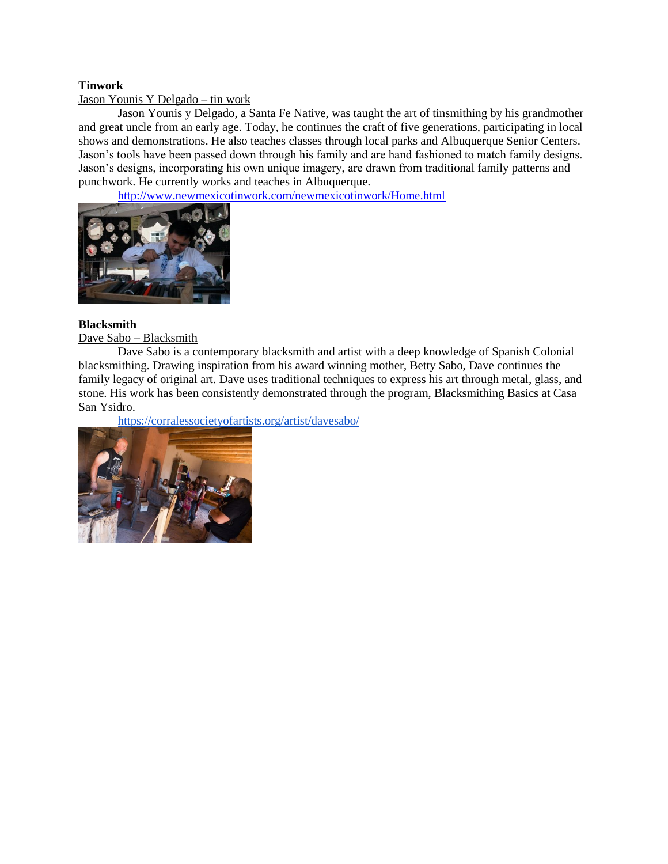## **Tinwork**

### Jason Younis Y Delgado – tin work

Jason Younis y Delgado, a Santa Fe Native, was taught the art of tinsmithing by his grandmother and great uncle from an early age. Today, he continues the craft of five generations, participating in local shows and demonstrations. He also teaches classes through local parks and Albuquerque Senior Centers. Jason's tools have been passed down through his family and are hand fashioned to match family designs. Jason's designs, incorporating his own unique imagery, are drawn from traditional family patterns and punchwork. He currently works and teaches in Albuquerque.

<http://www.newmexicotinwork.com/newmexicotinwork/Home.html>



## **Blacksmith**

## Dave Sabo – Blacksmith

Dave Sabo is a contemporary blacksmith and artist with a deep knowledge of Spanish Colonial blacksmithing. Drawing inspiration from his award winning mother, Betty Sabo, Dave continues the family legacy of original art. Dave uses traditional techniques to express his art through metal, glass, and stone. His work has been consistently demonstrated through the program, Blacksmithing Basics at Casa San Ysidro.

<https://corralessocietyofartists.org/artist/davesabo/>

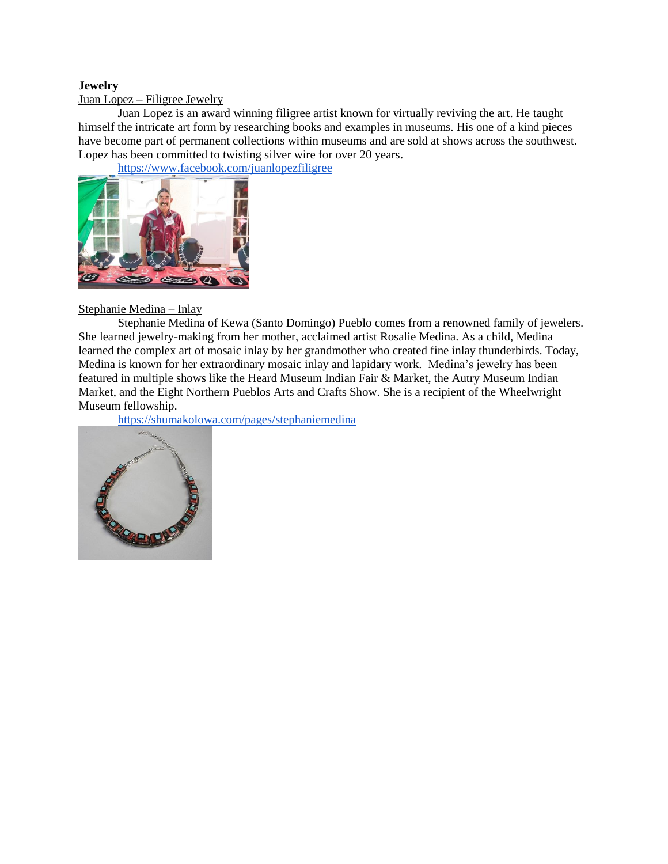## **Jewelry**

Juan Lopez – Filigree Jewelry

Juan Lopez is an award winning filigree artist known for virtually reviving the art. He taught himself the intricate art form by researching books and examples in museums. His one of a kind pieces have become part of permanent collections within museums and are sold at shows across the southwest. Lopez has been committed to twisting silver wire for over 20 years.

<https://www.facebook.com/juanlopezfiligree>



## Stephanie Medina – Inlay

Stephanie Medina of [Kewa \(Santo Domingo\) Pueblo](http://shumakolowa.com/pages/shop-by-pueblo) comes from a renowned family of jewelers. She learned jewelry-making from her mother, acclaimed artist Rosalie Medina. As a child, Medina learned the complex art of mosaic inlay by her grandmother who created fine inlay thunderbirds. Today, Medina is known for her extraordinary mosaic inlay and lapidary work. Medina's jewelry has been featured in multiple shows like the Heard Museum Indian Fair & Market, the Autry Museum Indian Market, and the Eight Northern Pueblos Arts and Crafts Show. She is a recipient of the Wheelwright Museum fellowship.

<https://shumakolowa.com/pages/stephaniemedina>

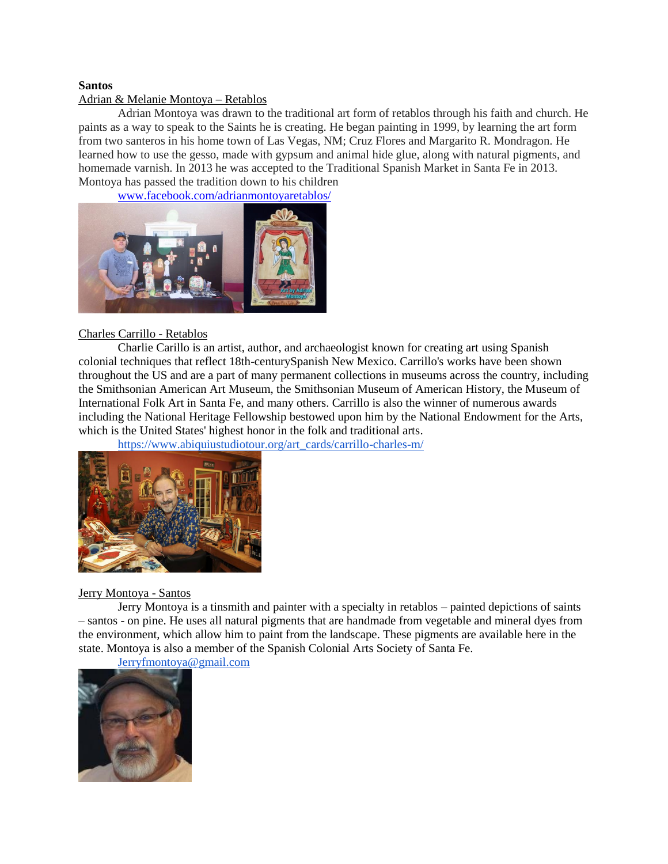#### **Santos**

### Adrian & Melanie Montoya – Retablos

Adrian Montoya was drawn to the traditional art form of retablos through his faith and church. He paints as a way to speak to the Saints he is creating. He began painting in 1999, by learning the art form from two santeros in his home town of Las Vegas, NM; Cruz Flores and Margarito R. Mondragon. He learned how to use the gesso, made with gypsum and animal hide glue, along with natural pigments, and homemade varnish. In 2013 he was accepted to the Traditional Spanish Market in Santa Fe in 2013. Montoya has passed the tradition down to his children

[www.facebook.com/adrianmontoyaretablos/](http://www.facebook.com/adrianmontoyaretablos/)



#### Charles Carrillo - Retablos

Charlie Carillo is an artist, author, and archaeologist known for creating art using Spanish colonial techniques that reflect 18th-centurySpanish New Mexico. Carrillo's works have been shown throughout the US and are a part of many permanent collections in museums across the country, including the Smithsonian American Art Museum, the Smithsonian Museum of American History, the Museum of International Folk Art in Santa Fe, and many others. Carrillo is also the winner of numerous awards including the National Heritage Fellowship bestowed upon him by the [National Endowment for the Arts,](https://en.wikipedia.org/wiki/National_Endowment_for_the_Arts) which is the United States' highest honor in the folk and traditional arts.

[https://www.abiquiustudiotour.org/art\\_cards/carrillo-charles-m/](https://www.abiquiustudiotour.org/art_cards/carrillo-charles-m/)



## Jerry Montoya - Santos

Jerry Montoya is a tinsmith and painter with a specialty in retablos – painted depictions of saints – santos - on pine. He uses all natural pigments that are handmade from vegetable and mineral dyes from the environment, which allow him to paint from the landscape. These pigments are available here in the state. Montoya is also a member of the Spanish Colonial Arts Society of Santa Fe.

## [Jerryfmontoya@gmail.com](mailto:Jerryfmontoya@gmail.com)

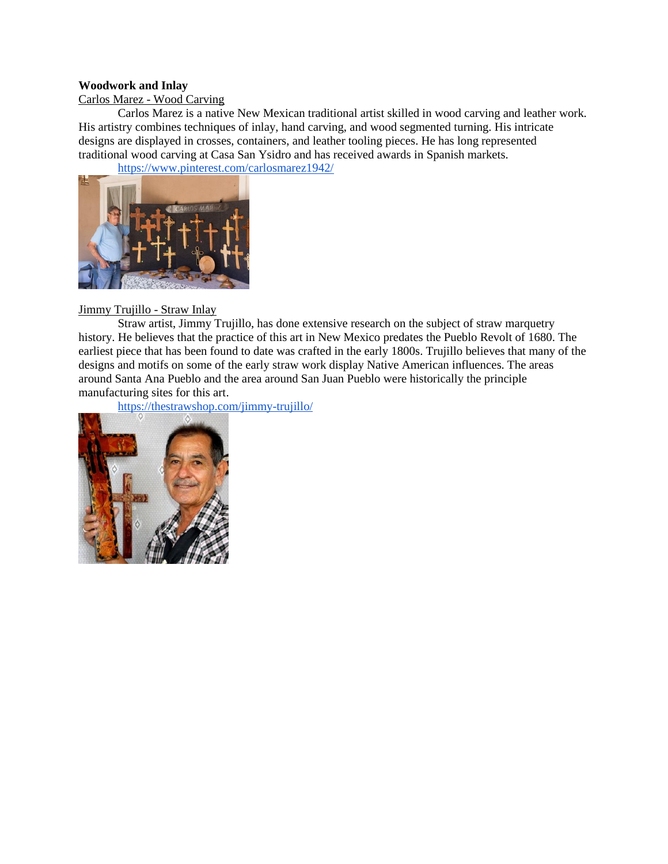## **Woodwork and Inlay**

## Carlos Marez - Wood Carving

Carlos Marez is a native New Mexican traditional artist skilled in wood carving and leather work. His artistry combines techniques of inlay, hand carving, and wood segmented turning. His intricate designs are displayed in crosses, containers, and leather tooling pieces. He has long represented traditional wood carving at Casa San Ysidro and has received awards in Spanish markets.

<https://www.pinterest.com/carlosmarez1942/>



## Jimmy Trujillo - Straw Inlay

Straw artist, Jimmy Trujillo, has done extensive research on the subject of straw marquetry history. He believes that the practice of this art in New Mexico predates the Pueblo Revolt of 1680. The earliest piece that has been found to date was crafted in the early 1800s. Trujillo believes that many of the designs and motifs on some of the early straw work display Native American influences. The areas around Santa Ana Pueblo and the area around San Juan Pueblo were historically the principle manufacturing sites for this art.

<https://thestrawshop.com/jimmy-trujillo/>

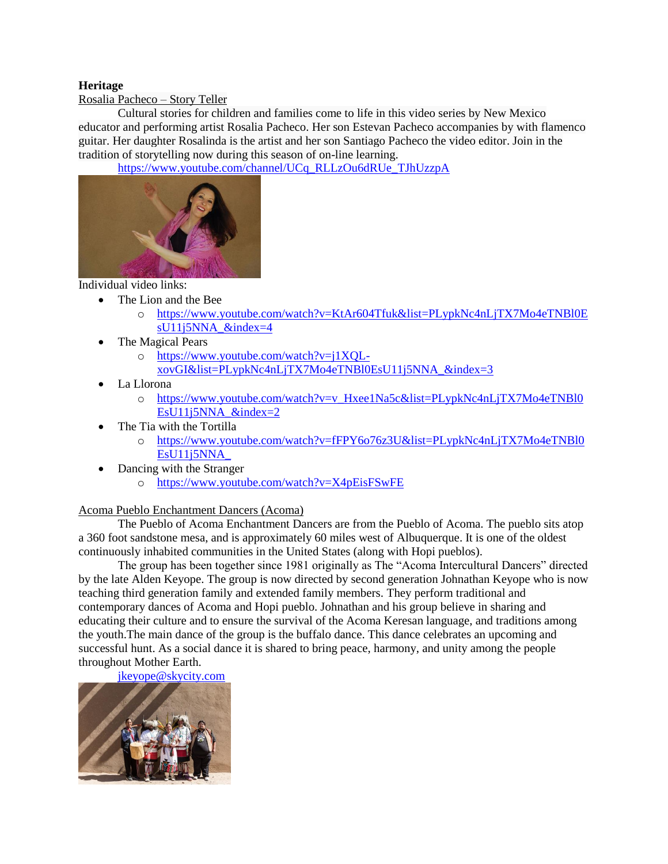## **Heritage**

Rosalia Pacheco – Story Teller

Cultural stories for children and families come to life in this video series by New Mexico educator and performing artist Rosalia Pacheco. Her son Estevan Pacheco accompanies by with flamenco guitar. Her daughter Rosalinda is the artist and her son Santiago Pacheco the video editor. Join in the tradition of storytelling now during this season of on-line learning.

[https://www.youtube.com/channel/UCq\\_RLLzOu6dRUe\\_TJhUzzpA](https://www.youtube.com/channel/UCq_RLLzOu6dRUe_TJhUzzpA)



Individual video links:

- The Lion and the Bee
	- o [https://www.youtube.com/watch?v=KtAr604Tfuk&list=PLypkNc4nLjTX7Mo4eTNBl0E](https://www.youtube.com/watch?v=KtAr604Tfuk&list=PLypkNc4nLjTX7Mo4eTNBl0EsU11j5NNA_&index=4) [sU11j5NNA\\_&index=4](https://www.youtube.com/watch?v=KtAr604Tfuk&list=PLypkNc4nLjTX7Mo4eTNBl0EsU11j5NNA_&index=4)
- The Magical Pears
	- o [https://www.youtube.com/watch?v=j1XQL](https://www.youtube.com/watch?v=j1XQL-xovGI&list=PLypkNc4nLjTX7Mo4eTNBl0EsU11j5NNA_&index=3)[xovGI&list=PLypkNc4nLjTX7Mo4eTNBl0EsU11j5NNA\\_&index=3](https://www.youtube.com/watch?v=j1XQL-xovGI&list=PLypkNc4nLjTX7Mo4eTNBl0EsU11j5NNA_&index=3)
- La Llorona
	- o [https://www.youtube.com/watch?v=v\\_Hxee1Na5c&list=PLypkNc4nLjTX7Mo4eTNBl0](https://www.youtube.com/watch?v=v_Hxee1Na5c&list=PLypkNc4nLjTX7Mo4eTNBl0EsU11j5NNA_&index=2) EsU11 $i5$ NNA & $i$ ndex=2
- The Tia with the Tortilla
	- o [https://www.youtube.com/watch?v=fFPY6o76z3U&list=PLypkNc4nLjTX7Mo4eTNBl0](https://www.youtube.com/watch?v=fFPY6o76z3U&list=PLypkNc4nLjTX7Mo4eTNBl0EsU11j5NNA_) [EsU11j5NNA\\_](https://www.youtube.com/watch?v=fFPY6o76z3U&list=PLypkNc4nLjTX7Mo4eTNBl0EsU11j5NNA_)
- Dancing with the Stranger
	- o <https://www.youtube.com/watch?v=X4pEisFSwFE>

## Acoma Pueblo Enchantment Dancers (Acoma)

The Pueblo of Acoma Enchantment Dancers are from the Pueblo of Acoma. The pueblo sits atop a 360 foot sandstone mesa, and is approximately 60 miles west of Albuquerque. It is one of the oldest continuously inhabited communities in the United States (along with Hopi pueblos).

The group has been together since 1981 originally as The "Acoma Intercultural Dancers" directed by the late Alden Keyope. The group is now directed by second generation Johnathan Keyope who is now teaching third generation family and extended family members. They perform traditional and contemporary dances of Acoma and Hopi pueblo. Johnathan and his group believe in sharing and educating their culture and to ensure the survival of the Acoma Keresan language, and traditions among the youth.The main dance of the group is the buffalo dance. This dance celebrates an upcoming and successful hunt. As a social dance it is shared to bring peace, harmony, and unity among the people throughout Mother Earth.

[jkeyope@skycity.com](mailto:jkeyope@skycity.com)